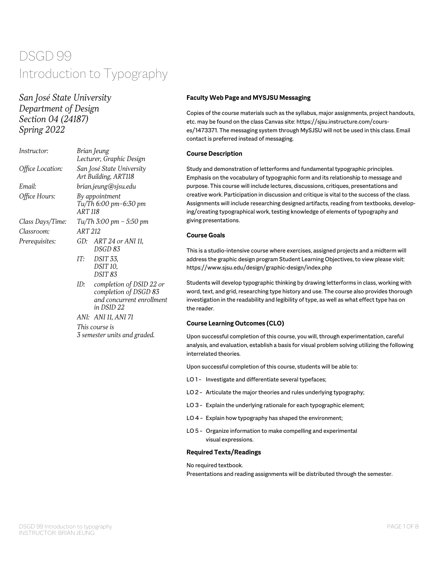# *San José State University Department of Design Section 04 (24187) Spring 2022*

| <i>Instructor:</i> | Brian Jeung<br>Lecturer, Graphic Design                  |                                                                                              |  |  |
|--------------------|----------------------------------------------------------|----------------------------------------------------------------------------------------------|--|--|
| Office Location:   | San José State University<br>Art Building, ART118        |                                                                                              |  |  |
| Email:             |                                                          | brian.jeung@sjsu.edu                                                                         |  |  |
| Office Hours:      | By appointment<br>Tu/Th 6:00 pm-6:30 pm<br><b>ART118</b> |                                                                                              |  |  |
| Class Days/Time:   | $Tu/Th$ 3:00 pm – 5:50 pm                                |                                                                                              |  |  |
| Classroom:         |                                                          | ART 212                                                                                      |  |  |
| Prerequisites:     | GD:                                                      | ART 24 or ANI 11,<br>DSGD 83                                                                 |  |  |
|                    | IT:                                                      | <i>DSIT 33.</i><br>DSIT <sub>10</sub> .<br>DSIT <sub>83</sub>                                |  |  |
|                    | ID:                                                      | completion of DSID 22 or<br>completion of DSGD 83<br>and concurrent enrollment<br>in DSID 22 |  |  |

*ANI: ANI 11, ANI 71 This course is 3 semester units and graded.*

### **Faculty Web Page and MYSJSU Messaging**

Copies of the course materials such as the syllabus, major assignments, project handouts, etc. may be found on the class Canvas site: https://sjsu.instructure.com/courses/1473371. The messaging system through MySJSU will not be used in this class. Email contact is preferred instead of messaging.

### **Course Description**

Study and demonstration of letterforms and fundamental typographic principles. Emphasis on the vocabulary of typographic form and its relationship to message and purpose. This course will include lectures, discussions, critiques, presentations and creative work. Participation in discussion and critique is vital to the success of the class. Assignments will include researching designed artifacts, reading from textbooks, developing/creating typographical work, testing knowledge of elements of typography and giving presentations.

### **Course Goals**

This is a studio-intensive course where exercises, assigned projects and a midterm will address the graphic design program Student Learning Objectives, to view please visit: https://www.sjsu.edu/design/graphic-design/index.php

Students will develop typographic thinking by drawing letterforms in class, working with word, text, and grid, researching type history and use. The course also provides thorough investigation in the readability and legibility of type, as well as what effect type has on the reader.

# **Course Learning Outcomes (CLO)**

Upon successful completion of this course, you will, through experimentation, careful analysis, and evaluation, establish a basis for visual problem solving utilizing the following interrelated theories.

Upon successful completion of this course, students will be able to:

- LO 1- Investigate and differentiate several typefaces;
- LO 2 Articulate the major theories and rules underlying typography;
- LO 3 Explain the underlying rationale for each typographic element;
- LO 4 Explain how typography has shaped the environment;
- LO 5 Organize information to make compelling and experimental visual expressions.

### **Required Texts/Readings**

No required textbook.

Presentations and reading assignments will be distributed through the semester.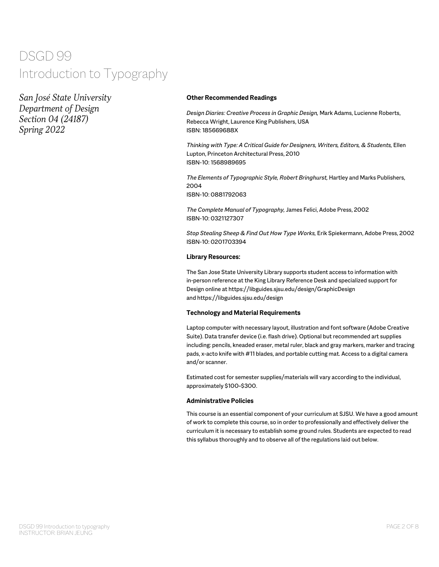*San José State University Department of Design Section 04 (24187) Spring 2022*

# **Other Recommended Readings**

*Design Diaries: Creative Process in Graphic Design,* Mark Adams, Lucienne Roberts, Rebecca Wright, Laurence King Publishers, USA ISBN: 185669688X

*Thinking with Type: A Critical Guide for Designers, Writers, Editors, & Students,* Ellen Lupton, Princeton Architectural Press, 2010 ISBN-10: 1568989695

*The Elements of Typographic Style, Robert Bringhurst,* Hartley and Marks Publishers, 2004 ISBN-10: 0881792063

*The Complete Manual of Typography,* James Felici, Adobe Press, 2002 ISBN-10: 0321127307

*Stop Stealing Sheep & Find Out How Type Works,* Erik Spiekermann, Adobe Press, 2002 ISBN-10: 0201703394

# **Library Resources:**

The San Jose State University Library supports student access to information with in-person reference at the King Library Reference Desk and specialized support for Design online at https://libguides.sjsu.edu/design/GraphicDesign and https://libguides.sjsu.edu/design

# **Technology and Material Requirements**

Laptop computer with necessary layout, illustration and font software (Adobe Creative Suite). Data transfer device (i.e. flash drive). Optional but recommended art supplies including: pencils, kneaded eraser, metal ruler, black and gray markers, marker and tracing pads, x-acto knife with #11 blades, and portable cutting mat. Access to a digital camera and/or scanner.

Estimated cost for semester supplies/materials will vary according to the individual, approximately \$100–\$300.

# **Administrative Policies**

This course is an essential component of your curriculum at SJSU. We have a good amount of work to complete this course, so in order to professionally and effectively deliver the curriculum it is necessary to establish some ground rules. Students are expected to read this syllabus thoroughly and to observe all of the regulations laid out below.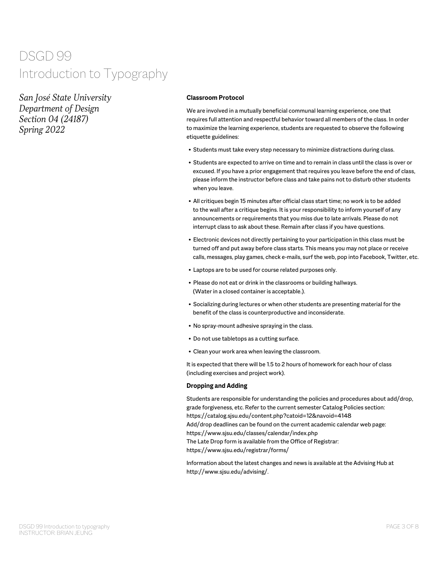*San José State University Department of Design Section 04 (24187) Spring 2022*

# **Classroom Protocol**

We are involved in a mutually beneficial communal learning experience, one that requires full attention and respectful behavior toward all members of the class. In order to maximize the learning experience, students are requested to observe the following etiquette guidelines:

- Students must take every step necessary to minimize distractions during class.
- Students are expected to arrive on time and to remain in class until the class is over or excused. If you have a prior engagement that requires you leave before the end of class, please inform the instructor before class and take pains not to disturb other students when you leave.
- All critiques begin 15 minutes after official class start time; no work is to be added to the wall after a critique begins. It is your responsibility to inform yourself of any announcements or requirements that you miss due to late arrivals. Please do not interrupt class to ask about these. Remain after class if you have questions.
- Electronic devices not directly pertaining to your participation in this class must be turned off and put away before class starts. This means you may not place or receive calls, messages, play games, check e-mails, surf the web, pop into Facebook, Twitter, etc.
- Laptops are to be used for course related purposes only.
- Please do not eat or drink in the classrooms or building hallways. (Water in a closed container is acceptable.).
- Socializing during lectures or when other students are presenting material for the benefit of the class is counterproductive and inconsiderate.
- No spray-mount adhesive spraying in the class.
- Do not use tabletops as a cutting surface.
- Clean your work area when leaving the classroom.

It is expected that there will be 1.5 to 2 hours of homework for each hour of class (including exercises and project work).

#### **Dropping and Adding**

Students are responsible for understanding the policies and procedures about add/drop, grade forgiveness, etc. Refer to the current semester Catalog Policies section: https://catalog.sjsu.edu/content.php?catoid=12&navoid=4148 Add/drop deadlines can be found on the current academic calendar web page: https://www.sjsu.edu/classes/calendar/index.php The Late Drop form is available from the Office of Registrar: https://www.sjsu.edu/registrar/forms/

Information about the latest changes and news is available at the Advising Hub at http://www.sjsu.edu/advising/.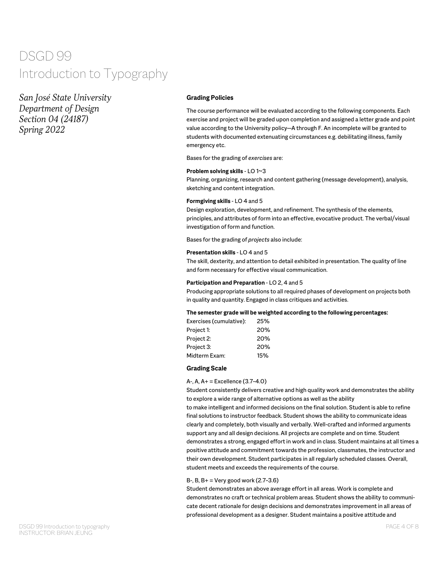*San José State University Department of Design Section 04 (24187) Spring 2022*

# **Grading Policies**

The course performance will be evaluated according to the following components. Each exercise and project will be graded upon completion and assigned a letter grade and point value according to the University policy—A through F. An incomplete will be granted to students with documented extenuating circumstances e.g. debilitating illness, family emergency etc.

Bases for the grading of *exercises* are:

#### **Problem solving skills** - LO 1~3

Planning, organizing, research and content gathering (message development), analysis, sketching and content integration.

### **Formgiving skills** - LO 4 and 5

Design exploration, development, and refinement. The synthesis of the elements, principles, and attributes of form into an effective, evocative product. The verbal/visual investigation of form and function.

Bases for the grading of *projects* also include:

#### **Presentation skills** - LO 4 and 5

The skill, dexterity, and attention to detail exhibited in presentation. The quality of line and form necessary for effective visual communication.

#### **Participation and Preparation** - LO 2, 4 and 5

Producing appropriate solutions to all required phases of development on projects both in quality and quantity. Engaged in class critiques and activities.

#### **The semester grade will be weighted according to the following percentages:**

| Exercises (cumulative): | 25% |
|-------------------------|-----|
| Project 1:              | 20% |
| Project 2:              | 20% |
| Project 3:              | 20% |
| Midterm Exam:           | 15% |

#### **Grading Scale**

#### A-, A, A+ = Excellence (3.7–4.0)

Student consistently delivers creative and high quality work and demonstrates the ability to explore a wide range of alternative options as well as the ability

to make intelligent and informed decisions on the final solution. Student is able to refine final solutions to instructor feedback. Student shows the ability to communicate ideas clearly and completely, both visually and verbally. Well-crafted and informed arguments support any and all design decisions. All projects are complete and on time. Student demonstrates a strong, engaged effort in work and in class. Student maintains at all times a positive attitude and commitment towards the profession, classmates, the instructor and their own development. Student participates in all regularly scheduled classes. Overall, student meets and exceeds the requirements of the course.

# B-, B, B+ = Very good work (2.7–3.6)

Student demonstrates an above average effort in all areas. Work is complete and demonstrates no craft or technical problem areas. Student shows the ability to communicate decent rationale for design decisions and demonstrates improvement in all areas of professional development as a designer. Student maintains a positive attitude and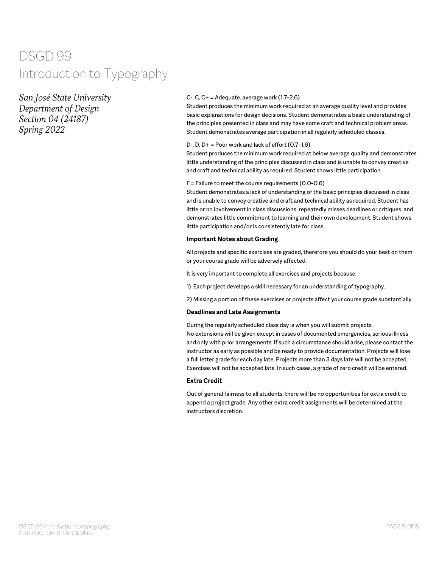*San José State University Department of Design Section 04 (24187) Spring 2022*

### C-, C, C+ = Adequate, average work (1.7–2.6)

Student produces the minimum work required at an average quality level and provides basic explanations for design decisions. Student demonstrates a basic understanding of the principles presented in class and may have some craft and technical problem areas. Student demonstrates average participation in all regularly scheduled classes.

### $D$ -,  $D$ ,  $D$ + = Poor work and lack of effort (0.7-1.6)

Student produces the minimum work required at below average quality and demonstrates little understanding of the principles discussed in class and is unable to convey creative and craft and technical ability as required. Student shows little participation.

#### $F =$  Failure to meet the course requirements (0.0-0.6)

Student demonstrates a lack of understanding of the basic principles discussed in class and is unable to convey creative and craft and technical ability as required. Student has little or no involvement in class discussions, repeatedly misses deadlines or critiques, and demonstrates little commitment to learning and their own development. Student shows little participation and/or is consistently late for class.

#### **Important Notes about Grading**

All projects and specific exercises are graded, therefore you should do your best on them or your course grade will be adversely affected.

It is very important to complete all exercises and projects because:

1) Each project develops a skill necessary for an understanding of typography.

2) Missing a portion of these exercises or projects affect your course grade substantially.

#### **Deadlines and Late Assignments**

During the regularly scheduled class day is when you will submit projects. No extensions will be given except in cases of documented emergencies, serious illness and only with prior arrangements. If such a circumstance should arise, please contact the instructor as early as possible and be ready to provide documentation. Projects will lose a full letter grade for each day late. Projects more than 3 days late will not be accepted. Exercises will not be accepted late. In such cases, a grade of zero credit will be entered.

# **Extra Credit**

Out of general fairness to all students, there will be no opportunities for extra credit to append a project grade. Any other extra credit assignments will be determined at the instructors discretion.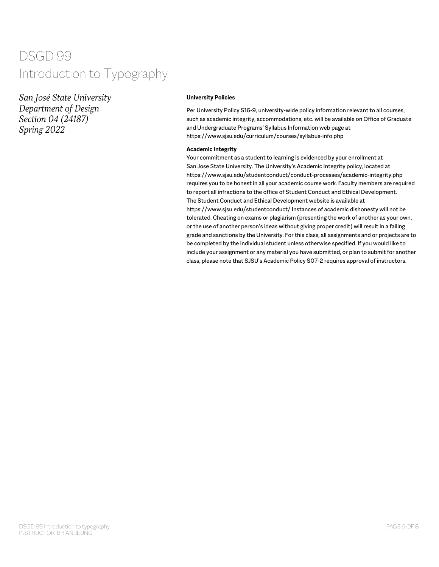*San José State University Department of Design Section 04 (24187) Spring 2022*

#### **University Policies**

Per University Policy S16-9, university-wide policy information relevant to all courses, such as academic integrity, accommodations, etc. will be available on Office of Graduate and Undergraduate Programs' Syllabus Information web page at https://www.sjsu.edu/curriculum/courses/syllabus-info.php

#### **Academic Integrity**

Your commitment as a student to learning is evidenced by your enrollment at San Jose State University. The University's Academic Integrity policy, located at https://www.sjsu.edu/studentconduct/conduct-processes/academic-integrity.php requires you to be honest in all your academic course work. Faculty members are required to report all infractions to the office of Student Conduct and Ethical Development. The Student Conduct and Ethical Development website is available at https://www.sjsu.edu/studentconduct/ Instances of academic dishonesty will not be tolerated. Cheating on exams or plagiarism (presenting the work of another as your own, or the use of another person's ideas without giving proper credit) will result in a failing grade and sanctions by the University. For this class, all assignments and or projects are to be completed by the individual student unless otherwise specified. If you would like to include your assignment or any material you have submitted, or plan to submit for another class, please note that SJSU's Academic Policy S07-2 requires approval of instructors.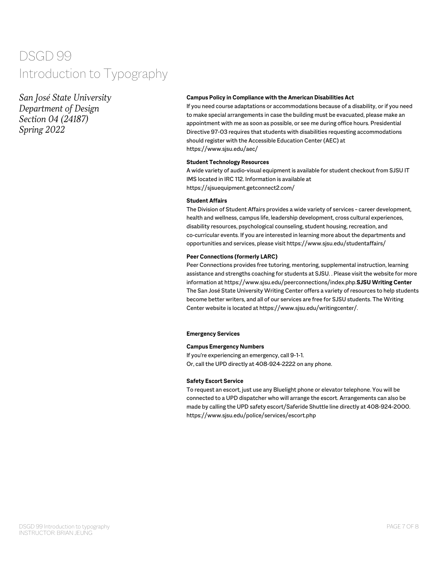*San José State University Department of Design Section 04 (24187) Spring 2022*

### **Campus Policy in Compliance with the American Disabilities Act**

If you need course adaptations or accommodations because of a disability, or if you need to make special arrangements in case the building must be evacuated, please make an appointment with me as soon as possible, or see me during office hours. Presidential Directive 97-03 requires that students with disabilities requesting accommodations should register with the Accessible Education Center (AEC) at https://www.sjsu.edu/aec/

#### **Student Technology Resources**

A wide variety of audio-visual equipment is available for student checkout from SJSU IT IMS located in IRC 112. Information is available at https://sjsuequipment.getconnect2.com/

#### **Student Affairs**

The Division of Student Affairs provides a wide variety of services - career development, health and wellness, campus life, leadership development, cross cultural experiences, disability resources, psychological counseling, student housing, recreation, and co-curricular events. If you are interested in learning more about the departments and opportunities and services, please visit https://www.sjsu.edu/studentaffairs/

#### **Peer Connections (formerly LARC)**

Peer Connections provides free tutoring, mentoring, supplemental instruction, learning assistance and strengths coaching for students at SJSU. . Please visit the website for more information at https://www.sjsu.edu/peerconnections/index.php.**SJSU Writing Center**  The San José State University Writing Center offers a variety of resources to help students become better writers, and all of our services are free for SJSU students. The Writing Center website is located at https://www.sjsu.edu/writingcenter/.

#### **Emergency Services**

#### **Campus Emergency Numbers**

If you're experiencing an emergency, call 9-1-1. Or, call the UPD directly at 408-924-2222 on any phone.

#### **Safety Escort Service**

To request an escort, just use any Bluelight phone or elevator telephone. You will be connected to a UPD dispatcher who will arrange the escort. Arrangements can also be made by calling the UPD safety escort/Saferide Shuttle line directly at 408-924-2000. https://www.sjsu.edu/police/services/escort.php